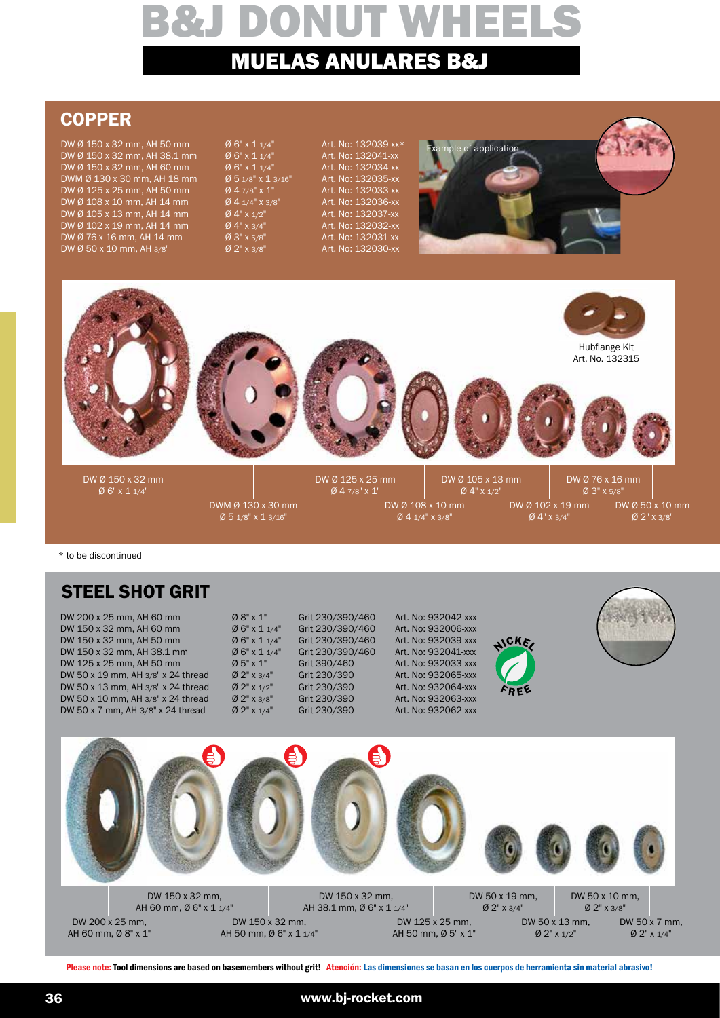## **COPPER**

DW Ø 150 x 32 mm, AH 50 mm Ø 6" x 1 1/4" Art. No: 132039-xx\*<br>DW Ø 150 x 32 mm. AH 38.1 mm Ø 6" x 1 1/4" Art. No: 132041-xx  $DW @ 150 \times 32 \text{ mm},$  AH 38.1 mm  $@ 6" \times 114"$  Art. No: 132041-xx<br> $DW @ 150 \times 32 \text{ mm},$  AH 60 mm  $@ 6" \times 114"$  Art. No: 132034-xx DW Ø 150 x 32 mm, AH 60 mm Ø 6" x 1 1/4" Art. No: 132034-xx  $DWM \varnothing 130 x 30 mm$ , AH 18 mm  $\varnothing 5 1/8" x 1 3/16"$  Art. No: 132035-xx<br> $DW \varnothing 125 x 25 mm$ , AH 50 mm  $\varnothing 4 7/8" x 1"$  Art. No: 132033-xx DW Ø 125 x 25 mm, AH 50 mm  $\sigma$  4 7/8" x 1" Art. No: 132033-xx<br>
DW Ø 108 x 10 mm, AH 14 mm  $\sigma$  4 1/4" x 3/8" Art. No: 132036-xx<br>
DW Ø 105 x 13 mm, AH 14 mm  $\sigma$  4" x 1/2" Art. No: 132037-xx DW Ø 108 x 10 mm, AH 14 mm  $\begin{array}{r} 0.4 \frac{1}{4}$  x 3/8" Art. No: 132036-xx<br>DW Ø 105 x 13 mm. AH 14 mm  $\begin{array}{r} 0.4 \frac{1}{4}$  x 1/2" Art. No: 132037-xx DW Ø 105 x 13 mm, AH 14 mm Ø 4" x 1/2" Art. No: 132037-xx DW Ø 102 x 19 mm, AH 14 mm Ø 4" x 3/4" Art. No: 132032-xx<br>DW Ø 76 x 16 mm, AH 14 mm Ø 3" x 5/8" Art. No: 132031-xx DW Ø 76 x 16 mm, AH 14 mm Ø 3" x 5/8" Art. No: 132031-xx<br>DW Ø 50 x 10 mm, AH 3/8" Ø 2" x 3/8" Art. No: 132030-xx DW Ø 50 x 10 mm, AH  $3/8$ "





\* to be discontinued

## STEEL SHOT GRIT

| DW 200 x 25 mm, AH 60 mm              | $0.8" \times 1"$      | Grit 230/390/460 | Art. No: 932042-xxx |       |  |
|---------------------------------------|-----------------------|------------------|---------------------|-------|--|
| DW 150 x 32 mm, AH 60 mm              | $06" \times 11/4"$    | Grit 230/390/460 | Art. No: 932006-xxx |       |  |
| DW 150 x 32 mm, AH 50 mm              | $06" \times 11/4"$    | Grit 230/390/460 | Art. No: 932039-xxx | AICKE |  |
| DW 150 x 32 mm, AH 38.1 mm            | $06" \times 11/4"$    | Grit 230/390/460 | Art. No: 932041-xxx |       |  |
| DW 125 x 25 mm, AH 50 mm              | $\varnothing$ 5" x 1" | Grit 390/460     | Art. No: 932033-xxx |       |  |
| DW 50 x 19 mm, AH 3/8" x 24 thread    | Ø 2" x 3/4"           | Grit 230/390     | Art. No: 932065-xxx |       |  |
| DW 50 x 13 mm, AH 3/8" x 24 thread    | $0.2" \times 1/2"$    | Grit 230/390     | Art. No: 932064-xxx | FREE  |  |
| DW 50 x 10 mm, AH $3/8$ " x 24 thread | $0.2"$ x 3/8"         | Grit 230/390     | Art. No: 932063-xxx |       |  |
| DW 50 x 7 mm, AH 3/8" x 24 thread     | $0.2"$ x $1/4"$       | Grit 230/390     | Art. No: 932062-xxx |       |  |
|                                       |                       |                  |                     |       |  |



DW 150 x 32 mm, AH 60 mm, Ø 6" x 1 1/4"

DW 150 x 32 mm, AH 38.1 mm, Ø 6" x 1 1/4"

Ø 2" x 3/4"

DW 50 x 19 mm,

DW 50 x 7 mm, Ø 2" x 1/4" DW 50 x 10 mm, Ø 2" x 3/8"

DW 200 x 25 mm, AH 60 mm, Ø 8" x 1"

DW 150 x 32 mm, AH 50 mm, Ø 6" x 1 1/4"

DW 125 x 25 mm, AH 50 mm, Ø 5" x 1" DW 50 x 13 mm, Ø 2" x 1/2"